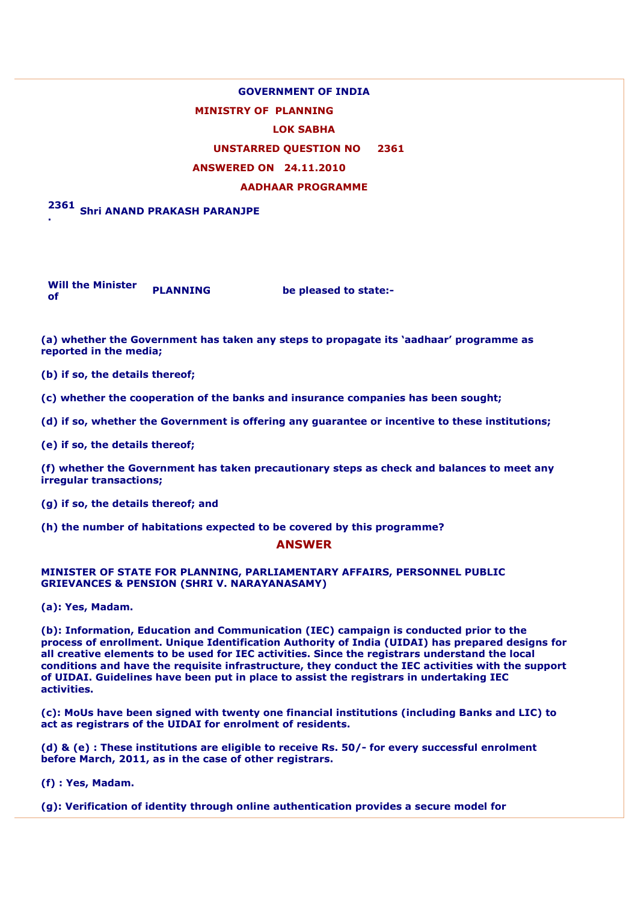# **GOVERNMENT OF INDIA**

## **MINISTRY OF PLANNING**

#### **LOK SABHA**

### **UNSTARRED QUESTION NO 2361**

#### **ANSWERED ON 24.11.2010**

#### **AADHAAR PROGRAMME**

#### **2361 . Shri ANAND PRAKASH PARANJPE**

**Will the Minister of** *PLANNING* **be pleased to state:- of** 

**(a) whether the Government has taken any steps to propagate its 'aadhaar' programme as reported in the media;** 

**(b) if so, the details thereof;** 

**(c) whether the cooperation of the banks and insurance companies has been sought;** 

**(d) if so, whether the Government is offering any guarantee or incentive to these institutions;** 

**(e) if so, the details thereof;** 

**(f) whether the Government has taken precautionary steps as check and balances to meet any irregular transactions;** 

**(g) if so, the details thereof; and** 

**(h) the number of habitations expected to be covered by this programme?** 

#### **ANSWER**

#### **MINISTER OF STATE FOR PLANNING, PARLIAMENTARY AFFAIRS, PERSONNEL PUBLIC GRIEVANCES & PENSION (SHRI V. NARAYANASAMY)**

**(a): Yes, Madam.** 

**(b): Information, Education and Communication (IEC) campaign is conducted prior to the process of enrollment. Unique Identification Authority of India (UIDAI) has prepared designs for all creative elements to be used for IEC activities. Since the registrars understand the local conditions and have the requisite infrastructure, they conduct the IEC activities with the support of UIDAI. Guidelines have been put in place to assist the registrars in undertaking IEC activities.** 

**(c): MoUs have been signed with twenty one financial institutions (including Banks and LIC) to act as registrars of the UIDAI for enrolment of residents.** 

**(d) & (e) : These institutions are eligible to receive Rs. 50/- for every successful enrolment before March, 2011, as in the case of other registrars.** 

**(f) : Yes, Madam.** 

**(g): Verification of identity through online authentication provides a secure model for**